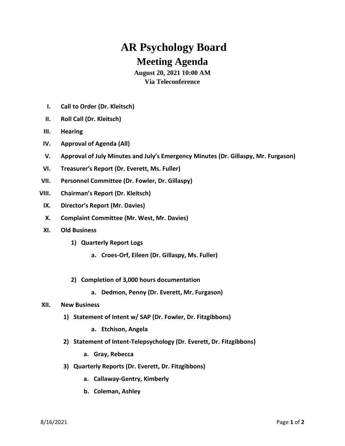## **AR Psychology Board Meeting Agenda**

## **August 20, 2021 10:00 AM Via Teleconference**

- **I. Call to Order (Dr. Kleitsch)**
- **II. Roll Call (Dr. Kleitsch)**
- **III. Hearing**
- **IV. Approval of Agenda (All)**
- **V. Approval of July Minutes and July's Emergency Minutes (Dr. Gillaspy, Mr. Furgason)**
- **VI. Treasurer's Report (Dr. Everett, Ms. Fuller)**
- **VII. Personnel Committee (Dr. Fowler, Dr. Gillaspy)**
- **VIII. Chairman's Report (Dr. Kleitsch)**
- **IX. Director's Report (Mr. Davies)**
- **X. Complaint Committee (Mr. West, Mr. Davies)**
- **XI. Old Business**
	- **1) Quarterly Report Logs**
		- **a. Croes-Orf, Eileen (Dr. Gillaspy, Ms. Fuller)**
	- **2) Completion of 3,000 hours documentation**
		- **a. Dedmon, Penny (Dr. Everett, Mr. Furgason)**

## **XII. New Business**

- **1) Statement of Intent w/ SAP (Dr. Fowler, Dr. Fitzgibbons)**
	- **a. Etchison, Angela**
- **2) Statement of Intent-Telepsychology (Dr. Everett, Dr. Fitzgibbons)**
	- **a. Gray, Rebecca**
- **3) Quarterly Reports (Dr. Everett, Dr. Fitzgibbons)**
	- **a. Callaway-Gentry, Kimberly**
	- **b. Coleman, Ashley**